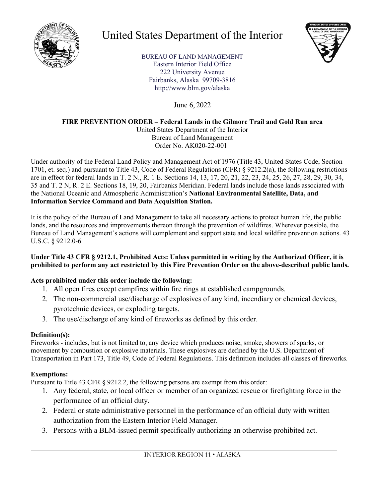

# United States Department of the Interior



BUREAU OF LAND MANAGEMENT Eastern Interior Field Office 222 University Avenue Fairbanks, Alaska 99709-3816 http://www.blm.gov/alaska

June 6, 2022

## **FIRE PREVENTION ORDER – Federal Lands in the Gilmore Trail and Gold Run area**

United States Department of the Interior Bureau of Land Management Order No. AK020-22-001

Under authority of the Federal Land Policy and Management Act of 1976 (Title 43, United States Code, Section 1701, et. seq.) and pursuant to Title 43, Code of Federal Regulations (CFR) § 9212.2(a), the following restrictions are in effect for federal lands in T. 2 N., R. 1 E. Sections 14, 13, 17, 20, 21, 22, 23, 24, 25, 26, 27, 28, 29, 30, 34, 35 and T. 2 N, R. 2 E. Sections 18, 19, 20, Fairbanks Meridian. Federal lands include those lands associated with the National Oceanic and Atmospheric Administration's **National Environmental Satellite, Data, and Information Service Command and Data Acquisition Station.**

It is the policy of the Bureau of Land Management to take all necessary actions to protect human life, the public lands, and the resources and improvements thereon through the prevention of wildfires. Wherever possible, the Bureau of Land Management's actions will complement and support state and local wildfire prevention actions. 43 U.S.C. § 9212.0-6

#### **Under Title 43 CFR § 9212.1, Prohibited Acts: Unless permitted in writing by the Authorized Officer, it is prohibited to perform any act restricted by this Fire Prevention Order on the above-described public lands.**

### **Acts prohibited under this order include the following:**

- 1. All open fires except campfires within fire rings at established campgrounds.
- 2. The non-commercial use/discharge of explosives of any kind, incendiary or chemical devices, pyrotechnic devices, or exploding targets.
- 3. The use/discharge of any kind of fireworks as defined by this order.

### **Definition(s):**

Fireworks - includes, but is not limited to, any device which produces noise, smoke, showers of sparks, or movement by combustion or explosive materials. These explosives are defined by the U.S. Department of Transportation in Part 173, Title 49, Code of Federal Regulations. This definition includes all classes of fireworks.

## **Exemptions:**

Pursuant to Title 43 CFR § 9212.2, the following persons are exempt from this order:

- 1. Any federal, state, or local officer or member of an organized rescue or firefighting force in the performance of an official duty.
- 2. Federal or state administrative personnel in the performance of an official duty with written authorization from the Eastern Interior Field Manager.
- 3. Persons with a BLM-issued permit specifically authorizing an otherwise prohibited act.